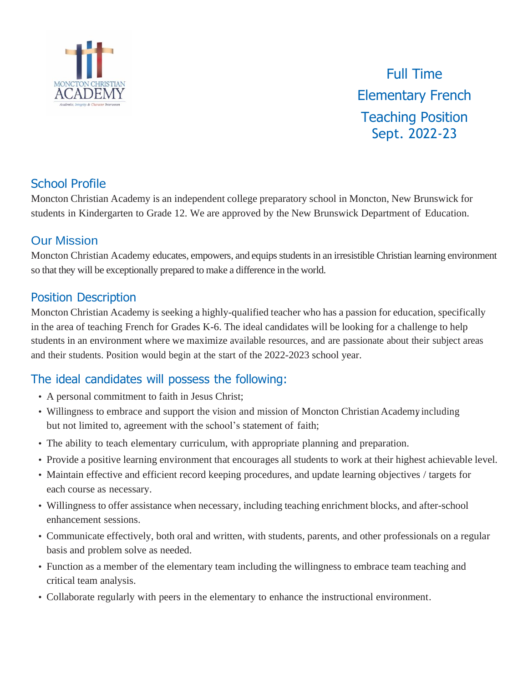

Full Time Elementary French Teaching Position Sept. 2022-23

## School Profile

Moncton Christian Academy is an independent college preparatory school in Moncton, New Brunswick for students in Kindergarten to Grade 12. We are approved by the New Brunswick Department of Education.

#### Our Mission

Moncton Christian Academy educates, empowers, and equips students in an irresistible Christian learning environment so that they will be exceptionally prepared to make a difference in the world.

#### Position Description

Moncton Christian Academy is seeking a highly-qualified teacher who has a passion for education, specifically in the area of teaching French for Grades K-6. The ideal candidates will be looking for a challenge to help students in an environment where we maximize available resources, and are passionate about their subject areas and their students. Position would begin at the start of the 2022-2023 school year.

# The ideal candidates will possess the following:

- A personal commitment to faith in Jesus Christ;
- Willingness to embrace and support the vision and mission of Moncton Christian Academy including but not limited to, agreement with the school's statement of faith;
- The ability to teach elementary curriculum, with appropriate planning and preparation.
- Provide a positive learning environment that encourages all students to work at their highest achievable level.
- Maintain effective and efficient record keeping procedures, and update learning objectives / targets for each course as necessary.
- Willingness to offer assistance when necessary, including teaching enrichment blocks, and after-school enhancement sessions.
- Communicate effectively, both oral and written, with students, parents, and other professionals on a regular basis and problem solve as needed.
- Function as a member of the elementary team including the willingness to embrace team teaching and critical team analysis.
- Collaborate regularly with peers in the elementary to enhance the instructional environment.